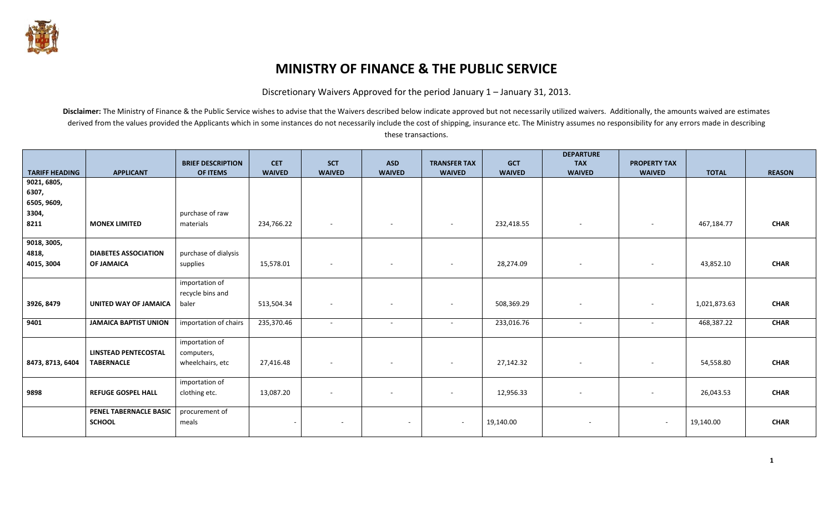

## **MINISTRY OF FINANCE & THE PUBLIC SERVICE**

Discretionary Waivers Approved for the period January 1 – January 31, 2013.

Disclaimer: The Ministry of Finance & the Public Service wishes to advise that the Waivers described below indicate approved but not necessarily utilized waivers. Additionally, the amounts waived are estimates derived from the values provided the Applicants which in some instances do not necessarily include the cost of shipping, insurance etc. The Ministry assumes no responsibility for any errors made in describing these transactions.

|                       |                              | <b>BRIEF DESCRIPTION</b> | <b>CET</b>               | <b>SCT</b>               | <b>ASD</b>    | <b>TRANSFER TAX</b>      | <b>GCT</b>    | <b>DEPARTURE</b><br><b>TAX</b> | <b>PROPERTY TAX</b>      |              |               |
|-----------------------|------------------------------|--------------------------|--------------------------|--------------------------|---------------|--------------------------|---------------|--------------------------------|--------------------------|--------------|---------------|
| <b>TARIFF HEADING</b> | <b>APPLICANT</b>             | OF ITEMS                 | <b>WAIVED</b>            | <b>WAIVED</b>            | <b>WAIVED</b> | <b>WAIVED</b>            | <b>WAIVED</b> | <b>WAIVED</b>                  | <b>WAIVED</b>            | <b>TOTAL</b> | <b>REASON</b> |
| 9021, 6805,           |                              |                          |                          |                          |               |                          |               |                                |                          |              |               |
| 6307,                 |                              |                          |                          |                          |               |                          |               |                                |                          |              |               |
| 6505, 9609,           |                              |                          |                          |                          |               |                          |               |                                |                          |              |               |
| 3304,                 |                              | purchase of raw          |                          |                          |               |                          |               |                                |                          |              |               |
| 8211                  | <b>MONEX LIMITED</b>         | materials                | 234,766.22               | $\overline{\phantom{a}}$ | $\sim$        | $\overline{\phantom{0}}$ | 232,418.55    | $\sim$                         | $\overline{\phantom{a}}$ | 467,184.77   | <b>CHAR</b>   |
| 9018, 3005,           |                              |                          |                          |                          |               |                          |               |                                |                          |              |               |
| 4818,                 | <b>DIABETES ASSOCIATION</b>  | purchase of dialysis     |                          |                          |               |                          |               |                                |                          |              |               |
| 4015, 3004            | <b>OF JAMAICA</b>            | supplies                 | 15,578.01                | $\sim$                   | $\sim$        | $\overline{\phantom{0}}$ | 28,274.09     | $\sim$                         | $\overline{\phantom{a}}$ | 43,852.10    | <b>CHAR</b>   |
|                       |                              | importation of           |                          |                          |               |                          |               |                                |                          |              |               |
|                       |                              | recycle bins and         |                          |                          |               |                          |               |                                |                          |              |               |
| 3926, 8479            | <b>UNITED WAY OF JAMAICA</b> | baler                    | 513,504.34               | $\sim$                   | $\sim$        | $\overline{\phantom{0}}$ | 508,369.29    | $\overline{\phantom{a}}$       | $\sim$                   | 1,021,873.63 | <b>CHAR</b>   |
| 9401                  | <b>JAMAICA BAPTIST UNION</b> | importation of chairs    | 235,370.46               | $\sim$                   | $\sim$        | $\sim$                   | 233,016.76    | $\overline{\phantom{a}}$       | $\sim$                   | 468,387.22   | <b>CHAR</b>   |
|                       |                              | importation of           |                          |                          |               |                          |               |                                |                          |              |               |
|                       | <b>LINSTEAD PENTECOSTAL</b>  | computers,               |                          |                          |               |                          |               |                                |                          |              |               |
| 8473, 8713, 6404      | <b>TABERNACLE</b>            | wheelchairs, etc         | 27,416.48                | $\overline{\phantom{a}}$ | $\sim$        | $\sim$                   | 27,142.32     | $\overline{\phantom{a}}$       | $\overline{\phantom{a}}$ | 54,558.80    | <b>CHAR</b>   |
|                       |                              | importation of           |                          |                          |               |                          |               |                                |                          |              |               |
| 9898                  | <b>REFUGE GOSPEL HALL</b>    | clothing etc.            | 13,087.20                | $\overline{\phantom{a}}$ | $\sim$        | $\overline{\phantom{a}}$ | 12,956.33     | $\sim$                         | $\overline{\phantom{a}}$ | 26,043.53    | <b>CHAR</b>   |
|                       | PENEL TABERNACLE BASIC       | procurement of           |                          |                          |               |                          |               |                                |                          |              |               |
|                       | <b>SCHOOL</b>                | meals                    | $\overline{\phantom{a}}$ | $\sim$                   | $\sim$        | $\sim$                   | 19,140.00     | $\sim$                         | $\sim$                   | 19,140.00    | <b>CHAR</b>   |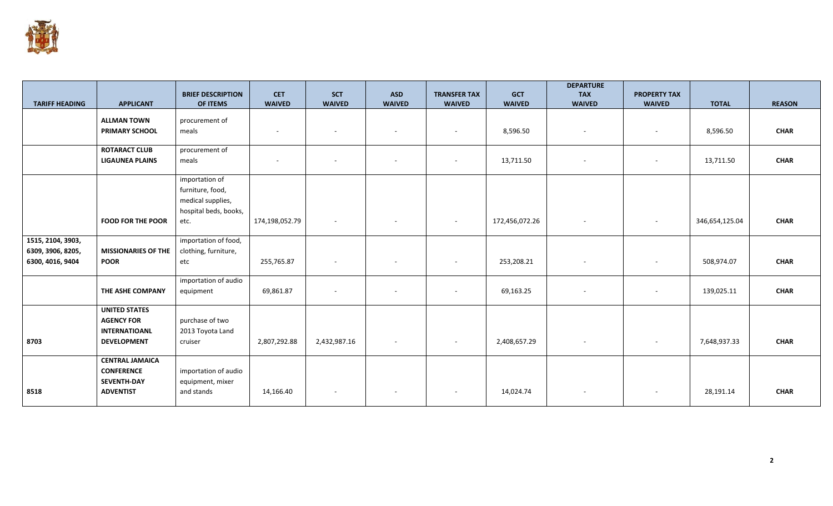

|                       |                            | <b>BRIEF DESCRIPTION</b> | <b>CET</b>               | <b>SCT</b>    | <b>ASD</b>               | <b>TRANSFER TAX</b>      | <b>GCT</b>     | <b>DEPARTURE</b><br><b>TAX</b> | <b>PROPERTY TAX</b>      |                |               |
|-----------------------|----------------------------|--------------------------|--------------------------|---------------|--------------------------|--------------------------|----------------|--------------------------------|--------------------------|----------------|---------------|
| <b>TARIFF HEADING</b> | <b>APPLICANT</b>           | OF ITEMS                 | <b>WAIVED</b>            | <b>WAIVED</b> | <b>WAIVED</b>            | <b>WAIVED</b>            | <b>WAIVED</b>  | <b>WAIVED</b>                  | <b>WAIVED</b>            | <b>TOTAL</b>   | <b>REASON</b> |
|                       | <b>ALLMAN TOWN</b>         | procurement of           |                          |               |                          |                          |                |                                |                          |                |               |
|                       | <b>PRIMARY SCHOOL</b>      | meals                    | $\overline{\phantom{a}}$ | $\sim$        | $\overline{\phantom{a}}$ | $\sim$                   | 8,596.50       | $\sim$                         | $\overline{\phantom{a}}$ | 8,596.50       | <b>CHAR</b>   |
|                       |                            |                          |                          |               |                          |                          |                |                                |                          |                |               |
|                       | <b>ROTARACT CLUB</b>       | procurement of           |                          |               |                          |                          |                |                                |                          |                |               |
|                       | <b>LIGAUNEA PLAINS</b>     | meals                    | $\overline{\phantom{a}}$ | $\sim$        | $\overline{\phantom{a}}$ | $\sim$                   | 13,711.50      | $\sim$                         | $\sim$                   | 13,711.50      | <b>CHAR</b>   |
|                       |                            | importation of           |                          |               |                          |                          |                |                                |                          |                |               |
|                       |                            | furniture, food,         |                          |               |                          |                          |                |                                |                          |                |               |
|                       |                            | medical supplies,        |                          |               |                          |                          |                |                                |                          |                |               |
|                       |                            | hospital beds, books,    |                          |               |                          |                          |                |                                |                          |                |               |
|                       | <b>FOOD FOR THE POOR</b>   | etc.                     | 174,198,052.79           | $\sim$        | $\sim$                   | $\sim$                   | 172,456,072.26 | $\sim$                         | $\sim$                   | 346,654,125.04 | <b>CHAR</b>   |
| 1515, 2104, 3903,     |                            | importation of food,     |                          |               |                          |                          |                |                                |                          |                |               |
| 6309, 3906, 8205,     | <b>MISSIONARIES OF THE</b> | clothing, furniture,     |                          |               |                          |                          |                |                                |                          |                |               |
| 6300, 4016, 9404      | <b>POOR</b>                | etc                      | 255,765.87               |               |                          | $\sim$                   | 253,208.21     | $\overline{\phantom{a}}$       |                          | 508,974.07     | <b>CHAR</b>   |
|                       |                            |                          |                          |               |                          |                          |                |                                |                          |                |               |
|                       |                            | importation of audio     |                          |               |                          |                          |                |                                |                          |                |               |
|                       | THE ASHE COMPANY           | equipment                | 69,861.87                | $\sim$        | $\overline{\phantom{a}}$ | $\sim$                   | 69,163.25      | $\sim$                         | $\overline{\phantom{a}}$ | 139,025.11     | <b>CHAR</b>   |
|                       | <b>UNITED STATES</b>       |                          |                          |               |                          |                          |                |                                |                          |                |               |
|                       | <b>AGENCY FOR</b>          | purchase of two          |                          |               |                          |                          |                |                                |                          |                |               |
|                       | <b>INTERNATIOANL</b>       | 2013 Toyota Land         |                          |               |                          |                          |                |                                |                          |                |               |
| 8703                  | <b>DEVELOPMENT</b>         | cruiser                  | 2,807,292.88             | 2,432,987.16  |                          | $\sim$                   | 2,408,657.29   | $\sim$                         |                          | 7,648,937.33   | <b>CHAR</b>   |
|                       | <b>CENTRAL JAMAICA</b>     |                          |                          |               |                          |                          |                |                                |                          |                |               |
|                       | <b>CONFERENCE</b>          | importation of audio     |                          |               |                          |                          |                |                                |                          |                |               |
|                       | SEVENTH-DAY                | equipment, mixer         |                          |               |                          |                          |                |                                |                          |                |               |
| 8518                  | <b>ADVENTIST</b>           | and stands               | 14,166.40                |               |                          | $\overline{\phantom{a}}$ | 14,024.74      |                                | $\overline{\phantom{a}}$ | 28,191.14      | <b>CHAR</b>   |
|                       |                            |                          |                          |               |                          |                          |                |                                |                          |                |               |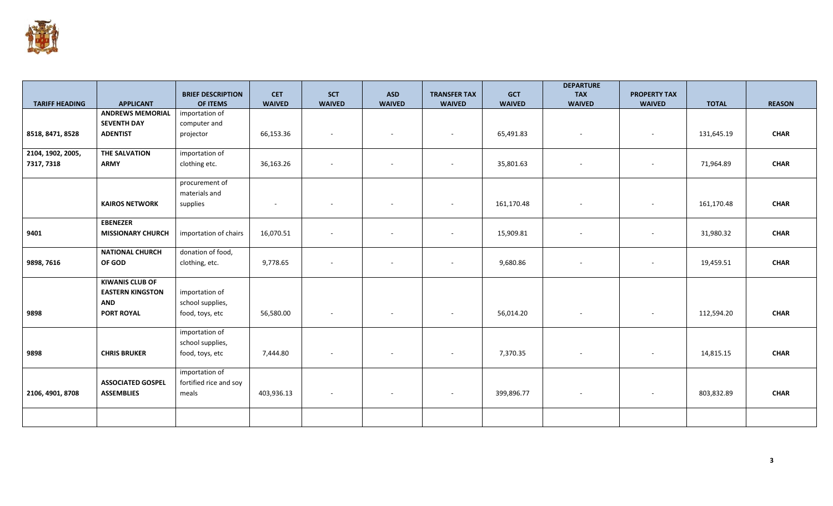

|                       |                          | <b>BRIEF DESCRIPTION</b> | <b>CET</b>    | <b>SCT</b>               | <b>ASD</b>    | <b>TRANSFER TAX</b>      | <b>GCT</b>    | <b>DEPARTURE</b><br><b>TAX</b> | <b>PROPERTY TAX</b>      |              |               |
|-----------------------|--------------------------|--------------------------|---------------|--------------------------|---------------|--------------------------|---------------|--------------------------------|--------------------------|--------------|---------------|
| <b>TARIFF HEADING</b> | <b>APPLICANT</b>         | OF ITEMS                 | <b>WAIVED</b> | <b>WAIVED</b>            | <b>WAIVED</b> | <b>WAIVED</b>            | <b>WAIVED</b> | <b>WAIVED</b>                  | <b>WAIVED</b>            | <b>TOTAL</b> | <b>REASON</b> |
|                       | <b>ANDREWS MEMORIAL</b>  | importation of           |               |                          |               |                          |               |                                |                          |              |               |
|                       | <b>SEVENTH DAY</b>       | computer and             |               |                          |               |                          |               |                                |                          |              |               |
| 8518, 8471, 8528      | <b>ADENTIST</b>          | projector                | 66,153.36     | $\overline{\phantom{a}}$ |               | $\overline{\phantom{a}}$ | 65,491.83     | $\sim$                         | $\sim$                   | 131,645.19   | <b>CHAR</b>   |
|                       |                          |                          |               |                          |               |                          |               |                                |                          |              |               |
| 2104, 1902, 2005,     | <b>THE SALVATION</b>     | importation of           |               |                          |               |                          |               |                                |                          |              |               |
| 7317, 7318            | <b>ARMY</b>              | clothing etc.            | 36,163.26     | $\sim$                   | $\sim$        | $\overline{\phantom{a}}$ | 35,801.63     | $\sim$                         | $\overline{\phantom{a}}$ | 71,964.89    | <b>CHAR</b>   |
|                       |                          |                          |               |                          |               |                          |               |                                |                          |              |               |
|                       |                          | procurement of           |               |                          |               |                          |               |                                |                          |              |               |
|                       |                          | materials and            |               |                          |               |                          |               |                                |                          |              |               |
|                       | <b>KAIROS NETWORK</b>    | supplies                 | $\sim$        | $\sim$                   | $\sim$        | $\overline{\phantom{a}}$ | 161,170.48    | $\sim$                         | $\overline{\phantom{a}}$ | 161,170.48   | <b>CHAR</b>   |
|                       |                          |                          |               |                          |               |                          |               |                                |                          |              |               |
|                       | <b>EBENEZER</b>          |                          |               |                          |               |                          |               |                                |                          |              |               |
| 9401                  | <b>MISSIONARY CHURCH</b> | importation of chairs    | 16,070.51     | $\sim$                   |               | $\overline{\phantom{a}}$ | 15,909.81     | $\overline{\phantom{a}}$       | $\overline{\phantom{a}}$ | 31,980.32    | <b>CHAR</b>   |
|                       | <b>NATIONAL CHURCH</b>   | donation of food,        |               |                          |               |                          |               |                                |                          |              |               |
| 9898, 7616            | OF GOD                   | clothing, etc.           | 9,778.65      | $\sim$                   |               | $\overline{\phantom{a}}$ | 9,680.86      | $\overline{\phantom{a}}$       | $\sim$                   | 19,459.51    | <b>CHAR</b>   |
|                       |                          |                          |               |                          |               |                          |               |                                |                          |              |               |
|                       | <b>KIWANIS CLUB OF</b>   |                          |               |                          |               |                          |               |                                |                          |              |               |
|                       | <b>EASTERN KINGSTON</b>  | importation of           |               |                          |               |                          |               |                                |                          |              |               |
|                       | <b>AND</b>               | school supplies,         |               |                          |               |                          |               |                                |                          |              |               |
| 9898                  | <b>PORT ROYAL</b>        | food, toys, etc          | 56,580.00     | $\sim$                   | $\sim$        | $\sim$                   | 56,014.20     | $\sim$                         | $\overline{\phantom{a}}$ | 112,594.20   | <b>CHAR</b>   |
|                       |                          |                          |               |                          |               |                          |               |                                |                          |              |               |
|                       |                          | importation of           |               |                          |               |                          |               |                                |                          |              |               |
|                       |                          | school supplies,         |               |                          |               |                          |               |                                |                          |              |               |
| 9898                  | <b>CHRIS BRUKER</b>      | food, toys, etc          | 7,444.80      |                          |               | $\overline{\phantom{a}}$ | 7,370.35      | $\overline{\phantom{a}}$       |                          | 14,815.15    | <b>CHAR</b>   |
|                       |                          | importation of           |               |                          |               |                          |               |                                |                          |              |               |
|                       | <b>ASSOCIATED GOSPEL</b> | fortified rice and soy   |               |                          |               |                          |               |                                |                          |              |               |
| 2106, 4901, 8708      | <b>ASSEMBLIES</b>        | meals                    | 403,936.13    |                          |               | $\sim$                   | 399,896.77    | $\sim$                         | $\sim$                   | 803,832.89   | <b>CHAR</b>   |
|                       |                          |                          |               |                          |               |                          |               |                                |                          |              |               |
|                       |                          |                          |               |                          |               |                          |               |                                |                          |              |               |
|                       |                          |                          |               |                          |               |                          |               |                                |                          |              |               |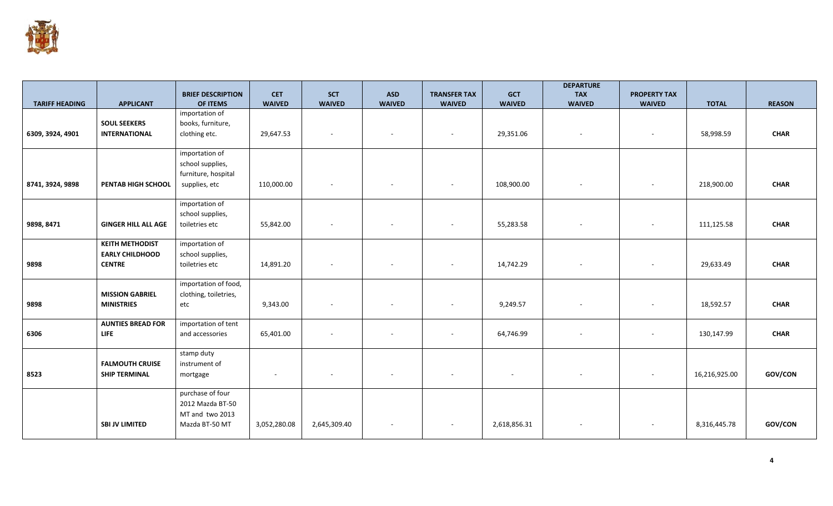

|                       |                            | <b>BRIEF DESCRIPTION</b> | <b>CET</b>               | <b>SCT</b>               | <b>ASD</b>               | <b>TRANSFER TAX</b>      | <b>GCT</b>    | <b>DEPARTURE</b><br><b>TAX</b> | <b>PROPERTY TAX</b>      |               |               |
|-----------------------|----------------------------|--------------------------|--------------------------|--------------------------|--------------------------|--------------------------|---------------|--------------------------------|--------------------------|---------------|---------------|
| <b>TARIFF HEADING</b> | <b>APPLICANT</b>           | OF ITEMS                 | <b>WAIVED</b>            | <b>WAIVED</b>            | <b>WAIVED</b>            | <b>WAIVED</b>            | <b>WAIVED</b> | <b>WAIVED</b>                  | <b>WAIVED</b>            | <b>TOTAL</b>  | <b>REASON</b> |
|                       |                            | importation of           |                          |                          |                          |                          |               |                                |                          |               |               |
|                       | <b>SOUL SEEKERS</b>        | books, furniture,        |                          |                          |                          |                          |               |                                |                          |               |               |
| 6309, 3924, 4901      | <b>INTERNATIONAL</b>       | clothing etc.            | 29,647.53                |                          |                          | $\overline{\phantom{a}}$ | 29,351.06     | $\sim$                         |                          | 58,998.59     | <b>CHAR</b>   |
|                       |                            |                          |                          |                          |                          |                          |               |                                |                          |               |               |
|                       |                            | importation of           |                          |                          |                          |                          |               |                                |                          |               |               |
|                       |                            | school supplies,         |                          |                          |                          |                          |               |                                |                          |               |               |
|                       |                            | furniture, hospital      |                          |                          |                          |                          |               |                                |                          |               |               |
| 8741, 3924, 9898      | <b>PENTAB HIGH SCHOOL</b>  | supplies, etc            | 110,000.00               |                          |                          | $\overline{\phantom{a}}$ | 108,900.00    | $\sim$                         |                          | 218,900.00    | <b>CHAR</b>   |
|                       |                            | importation of           |                          |                          |                          |                          |               |                                |                          |               |               |
|                       |                            |                          |                          |                          |                          |                          |               |                                |                          |               |               |
|                       |                            | school supplies,         |                          |                          |                          |                          |               |                                |                          |               | <b>CHAR</b>   |
| 9898, 8471            | <b>GINGER HILL ALL AGE</b> | toiletries etc           | 55,842.00                |                          |                          | $\overline{\phantom{a}}$ | 55,283.58     | $\sim$                         | $\overline{\phantom{a}}$ | 111,125.58    |               |
|                       | <b>KEITH METHODIST</b>     | importation of           |                          |                          |                          |                          |               |                                |                          |               |               |
|                       | <b>EARLY CHILDHOOD</b>     | school supplies,         |                          |                          |                          |                          |               |                                |                          |               |               |
| 9898                  | <b>CENTRE</b>              | toiletries etc           | 14,891.20                | $\overline{\phantom{a}}$ |                          | $\overline{\phantom{a}}$ | 14,742.29     | $\sim$                         | $\overline{\phantom{a}}$ | 29,633.49     | <b>CHAR</b>   |
|                       |                            |                          |                          |                          |                          |                          |               |                                |                          |               |               |
|                       |                            | importation of food,     |                          |                          |                          |                          |               |                                |                          |               |               |
|                       | <b>MISSION GABRIEL</b>     | clothing, toiletries,    |                          |                          |                          |                          |               |                                |                          |               |               |
| 9898                  | <b>MINISTRIES</b>          | etc                      | 9,343.00                 |                          | $\overline{\phantom{0}}$ | $\overline{\phantom{a}}$ | 9,249.57      | $\sim$                         |                          | 18,592.57     | <b>CHAR</b>   |
|                       |                            |                          |                          |                          |                          |                          |               |                                |                          |               |               |
|                       | <b>AUNTIES BREAD FOR</b>   | importation of tent      |                          |                          |                          |                          |               |                                |                          |               |               |
| 6306                  | <b>LIFE</b>                | and accessories          | 65,401.00                | ٠                        |                          | $\overline{\phantom{a}}$ | 64,746.99     | $\overline{\phantom{a}}$       |                          | 130,147.99    | <b>CHAR</b>   |
|                       |                            | stamp duty               |                          |                          |                          |                          |               |                                |                          |               |               |
|                       | <b>FALMOUTH CRUISE</b>     | instrument of            |                          |                          |                          |                          |               |                                |                          |               |               |
| 8523                  | <b>SHIP TERMINAL</b>       | mortgage                 | $\overline{\phantom{a}}$ |                          | $\overline{\phantom{0}}$ | $\overline{\phantom{a}}$ | $\sim$        | $\sim$                         |                          | 16,216,925.00 | GOV/CON       |
|                       |                            |                          |                          |                          |                          |                          |               |                                |                          |               |               |
|                       |                            | purchase of four         |                          |                          |                          |                          |               |                                |                          |               |               |
|                       |                            | 2012 Mazda BT-50         |                          |                          |                          |                          |               |                                |                          |               |               |
|                       |                            | MT and two 2013          |                          |                          |                          |                          |               |                                |                          |               |               |
|                       | <b>SBI JV LIMITED</b>      | Mazda BT-50 MT           | 3,052,280.08             | 2,645,309.40             |                          | $\overline{\phantom{a}}$ | 2,618,856.31  |                                |                          | 8,316,445.78  | GOV/CON       |
|                       |                            |                          |                          |                          |                          |                          |               |                                |                          |               |               |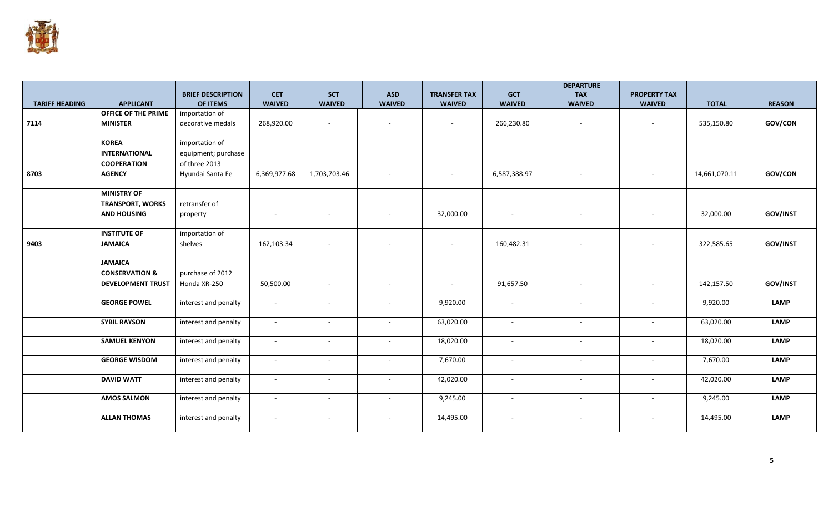

|                       |                           | <b>BRIEF DESCRIPTION</b> | <b>CET</b>               | <b>SCT</b>               | <b>ASD</b>    | <b>TRANSFER TAX</b>      | <b>GCT</b>    | <b>DEPARTURE</b><br><b>TAX</b> | <b>PROPERTY TAX</b>      |               |                 |
|-----------------------|---------------------------|--------------------------|--------------------------|--------------------------|---------------|--------------------------|---------------|--------------------------------|--------------------------|---------------|-----------------|
| <b>TARIFF HEADING</b> | <b>APPLICANT</b>          | <b>OF ITEMS</b>          | <b>WAIVED</b>            | <b>WAIVED</b>            | <b>WAIVED</b> | <b>WAIVED</b>            | <b>WAIVED</b> | <b>WAIVED</b>                  | <b>WAIVED</b>            | <b>TOTAL</b>  | <b>REASON</b>   |
|                       | OFFICE OF THE PRIME       | importation of           |                          |                          |               |                          |               |                                |                          |               |                 |
| 7114                  | <b>MINISTER</b>           | decorative medals        | 268,920.00               | $\sim$                   |               | $\overline{\phantom{a}}$ | 266,230.80    | $\sim$                         |                          | 535,150.80    | GOV/CON         |
|                       |                           |                          |                          |                          |               |                          |               |                                |                          |               |                 |
|                       | <b>KOREA</b>              | importation of           |                          |                          |               |                          |               |                                |                          |               |                 |
|                       | <b>INTERNATIONAL</b>      | equipment; purchase      |                          |                          |               |                          |               |                                |                          |               |                 |
|                       | <b>COOPERATION</b>        | of three 2013            |                          |                          |               |                          |               |                                |                          |               |                 |
| 8703                  | <b>AGENCY</b>             | Hyundai Santa Fe         | 6,369,977.68             | 1,703,703.46             | $\sim$        | $\overline{\phantom{a}}$ | 6,587,388.97  | $\sim$                         | $\sim$                   | 14,661,070.11 | GOV/CON         |
|                       | <b>MINISTRY OF</b>        |                          |                          |                          |               |                          |               |                                |                          |               |                 |
|                       | <b>TRANSPORT, WORKS</b>   | retransfer of            |                          |                          |               |                          |               |                                |                          |               |                 |
|                       | <b>AND HOUSING</b>        | property                 | $\overline{\phantom{a}}$ | $\overline{\phantom{a}}$ |               | 32,000.00                | $\sim$        | $\sim$                         | $\overline{\phantom{a}}$ | 32,000.00     | <b>GOV/INST</b> |
|                       |                           |                          |                          |                          |               |                          |               |                                |                          |               |                 |
|                       | <b>INSTITUTE OF</b>       | importation of           |                          |                          |               |                          |               |                                |                          |               |                 |
| 9403                  | <b>JAMAICA</b>            | shelves                  | 162,103.34               | $\sim$                   |               | $\overline{\phantom{a}}$ | 160,482.31    | $\sim$                         |                          | 322,585.65    | GOV/INST        |
|                       |                           |                          |                          |                          |               |                          |               |                                |                          |               |                 |
|                       | <b>JAMAICA</b>            |                          |                          |                          |               |                          |               |                                |                          |               |                 |
|                       | <b>CONSERVATION &amp;</b> | purchase of 2012         |                          |                          |               |                          |               |                                |                          |               |                 |
|                       | <b>DEVELOPMENT TRUST</b>  | Honda XR-250             | 50,500.00                | $\sim$                   | $\sim$        | $\overline{\phantom{a}}$ | 91,657.50     | $\overline{\phantom{a}}$       |                          | 142,157.50    | GOV/INST        |
|                       | <b>GEORGE POWEL</b>       | interest and penalty     | $\sim$                   | $\sim$                   | $\sim$        | 9,920.00                 | $\sim$        | $\sim$                         | $\sim$                   | 9,920.00      | <b>LAMP</b>     |
|                       |                           |                          |                          |                          |               |                          |               |                                |                          |               |                 |
|                       | <b>SYBIL RAYSON</b>       | interest and penalty     | $\sim$                   | $\overline{\phantom{a}}$ | $\sim$        | 63,020.00                | $\sim$        | $\sim$                         | $\sim$                   | 63,020.00     | <b>LAMP</b>     |
|                       | <b>SAMUEL KENYON</b>      |                          | $\sim$                   | $\sim$                   | $\sim$        | 18,020.00                | $\sim$        |                                | $\sim$                   | 18,020.00     | <b>LAMP</b>     |
|                       |                           | interest and penalty     |                          |                          |               |                          |               | $\sim$                         |                          |               |                 |
|                       | <b>GEORGE WISDOM</b>      | interest and penalty     | $\sim$                   | $\sim$                   | $\sim$        | 7,670.00                 | $\sim$        | $\sim$                         | $\sim$                   | 7,670.00      | <b>LAMP</b>     |
|                       |                           |                          |                          |                          |               |                          |               |                                |                          |               |                 |
|                       | <b>DAVID WATT</b>         | interest and penalty     | $\sim$                   | $\sim$                   |               | 42,020.00                | $\sim$        | $\sim$                         | $\sim$                   | 42,020.00     | <b>LAMP</b>     |
|                       | <b>AMOS SALMON</b>        | interest and penalty     | $\sim$                   | $\sim$                   |               | 9,245.00                 | $\sim$        | $\sim$                         | $\sim$                   | 9,245.00      | <b>LAMP</b>     |
|                       |                           |                          |                          |                          |               |                          |               |                                |                          |               |                 |
|                       | <b>ALLAN THOMAS</b>       | interest and penalty     | $\sim$                   | $\overline{\phantom{a}}$ |               | 14,495.00                | $\sim$        | $\sim$                         |                          | 14,495.00     | <b>LAMP</b>     |
|                       |                           |                          |                          |                          |               |                          |               |                                |                          |               |                 |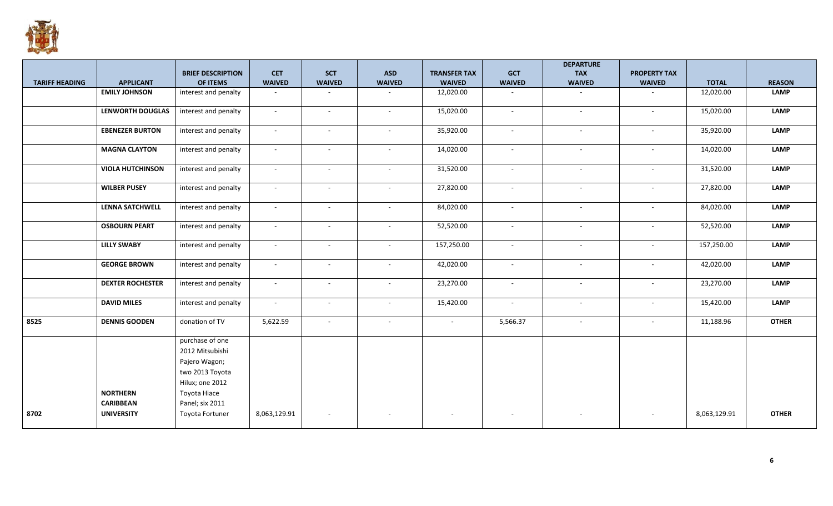

|                       |                                                          |                                                                                                                                                 |               |                             |               |                     |               | <b>DEPARTURE</b> |                     |              |               |
|-----------------------|----------------------------------------------------------|-------------------------------------------------------------------------------------------------------------------------------------------------|---------------|-----------------------------|---------------|---------------------|---------------|------------------|---------------------|--------------|---------------|
|                       |                                                          | <b>BRIEF DESCRIPTION</b>                                                                                                                        | <b>CET</b>    | <b>SCT</b>                  | <b>ASD</b>    | <b>TRANSFER TAX</b> | <b>GCT</b>    | <b>TAX</b>       | <b>PROPERTY TAX</b> |              |               |
| <b>TARIFF HEADING</b> | <b>APPLICANT</b>                                         | OF ITEMS                                                                                                                                        | <b>WAIVED</b> | <b>WAIVED</b>               | <b>WAIVED</b> | <b>WAIVED</b>       | <b>WAIVED</b> | <b>WAIVED</b>    | <b>WAIVED</b>       | <b>TOTAL</b> | <b>REASON</b> |
|                       | <b>EMILY JOHNSON</b>                                     | interest and penalty                                                                                                                            | $\sim$        |                             |               | 12,020.00           |               |                  |                     | 12,020.00    | <b>LAMP</b>   |
|                       | <b>LENWORTH DOUGLAS</b>                                  | interest and penalty                                                                                                                            | $\sim$        | $\sim$                      | $\sim$        | 15,020.00           | $\sim$        | $\sim$           | $\sim$              | 15,020.00    | <b>LAMP</b>   |
|                       | <b>EBENEZER BURTON</b>                                   | interest and penalty                                                                                                                            | $\sim$        | $\sim$                      | $\sim$        | 35,920.00           | $\sim$        | $\sim$           | $\sim$              | 35,920.00    | <b>LAMP</b>   |
|                       | <b>MAGNA CLAYTON</b>                                     | interest and penalty                                                                                                                            | $\sim$        | $\sim$                      | $\sim$        | 14,020.00           | $\sim$        | $\sim$           | $\sim$              | 14,020.00    | <b>LAMP</b>   |
|                       | <b>VIOLA HUTCHINSON</b>                                  | interest and penalty                                                                                                                            | $\sim$        | $\sim$                      | $\sim$        | 31,520.00           | $\sim$        | $\sim$           | $\sim$              | 31,520.00    | <b>LAMP</b>   |
|                       | <b>WILBER PUSEY</b>                                      | interest and penalty                                                                                                                            | $\sim$        | $\sim$                      | $\sim$        | 27,820.00           | $\sim$        | $\sim$           | $\sim$              | 27,820.00    | <b>LAMP</b>   |
|                       | <b>LENNA SATCHWELL</b>                                   | interest and penalty                                                                                                                            | $\sim$        | $\sim$                      | $\sim$        | 84,020.00           | $\sim$        | $\sim$           | $\sim$              | 84,020.00    | <b>LAMP</b>   |
|                       | <b>OSBOURN PEART</b>                                     | interest and penalty                                                                                                                            | $\sim$        | $\sim$                      | $\sim$        | 52,520.00           | $\sim$        | $\sim$           | $\sim$              | 52,520.00    | <b>LAMP</b>   |
|                       | <b>LILLY SWABY</b>                                       | interest and penalty                                                                                                                            | $\sim$        | $\mathcal{L}$               | $\sim$        | 157,250.00          | $\sim$        | $\sim$           | $\sim$              | 157,250.00   | <b>LAMP</b>   |
|                       | <b>GEORGE BROWN</b>                                      | interest and penalty                                                                                                                            | $\sim$        | $\sim$                      | $\sim$        | 42,020.00           | $\sim$        | $\sim$           | $\sim$              | 42,020.00    | <b>LAMP</b>   |
|                       | <b>DEXTER ROCHESTER</b>                                  | interest and penalty                                                                                                                            | $\sim$        | $\mathcal{L}^{\mathcal{L}}$ | $\sim$        | 23,270.00           | $\sim$        | $\sim$           | $\mathbf{r}$        | 23,270.00    | <b>LAMP</b>   |
|                       | <b>DAVID MILES</b>                                       | interest and penalty                                                                                                                            | $\sim$        | $\sim$                      | $\sim$        | 15,420.00           | $\sim$        | $\sim$           | $\sim$              | 15,420.00    | <b>LAMP</b>   |
| 8525                  | <b>DENNIS GOODEN</b>                                     | donation of TV                                                                                                                                  | 5,622.59      | $\blacksquare$              | $\sim$        | $\sim$              | 5,566.37      | $\sim$           | $\sim$              | 11,188.96    | <b>OTHER</b>  |
| 8702                  | <b>NORTHERN</b><br><b>CARIBBEAN</b><br><b>UNIVERSITY</b> | purchase of one<br>2012 Mitsubishi<br>Pajero Wagon;<br>two 2013 Toyota<br>Hilux; one 2012<br>Toyota Hiace<br>Panel; six 2011<br>Toyota Fortuner | 8,063,129.91  | $\overline{\phantom{a}}$    |               |                     |               |                  |                     | 8,063,129.91 | <b>OTHER</b>  |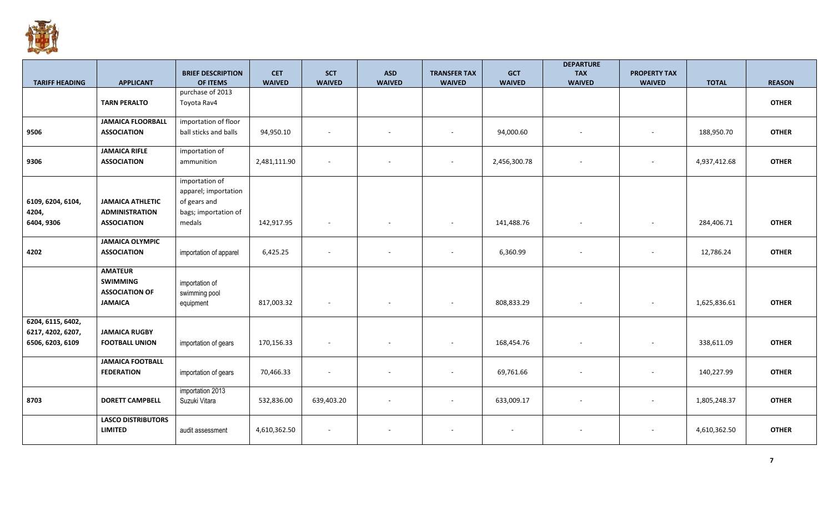

|                                                            |                                                                              | <b>BRIEF DESCRIPTION</b>                                                                 | <b>CET</b>    | <b>SCT</b>               | <b>ASD</b>    | <b>TRANSFER TAX</b>      | <b>GCT</b>    | <b>DEPARTURE</b><br><b>TAX</b> | <b>PROPERTY TAX</b>      |              |               |
|------------------------------------------------------------|------------------------------------------------------------------------------|------------------------------------------------------------------------------------------|---------------|--------------------------|---------------|--------------------------|---------------|--------------------------------|--------------------------|--------------|---------------|
| <b>TARIFF HEADING</b>                                      | <b>APPLICANT</b>                                                             | OF ITEMS                                                                                 | <b>WAIVED</b> | <b>WAIVED</b>            | <b>WAIVED</b> | <b>WAIVED</b>            | <b>WAIVED</b> | <b>WAIVED</b>                  | <b>WAIVED</b>            | <b>TOTAL</b> | <b>REASON</b> |
|                                                            | <b>TARN PERALTO</b>                                                          | purchase of 2013<br>Toyota Rav4                                                          |               |                          |               |                          |               |                                |                          |              | <b>OTHER</b>  |
| 9506                                                       | <b>JAMAICA FLOORBALL</b><br><b>ASSOCIATION</b>                               | importation of floor<br>ball sticks and balls                                            | 94,950.10     |                          |               | $\overline{\phantom{a}}$ | 94,000.60     |                                |                          | 188,950.70   | <b>OTHER</b>  |
| 9306                                                       | <b>JAMAICA RIFLE</b><br><b>ASSOCIATION</b>                                   | importation of<br>ammunition                                                             | 2,481,111.90  |                          |               | $\overline{a}$           | 2,456,300.78  |                                |                          | 4,937,412.68 | <b>OTHER</b>  |
| 6109, 6204, 6104,<br>4204,<br>6404, 9306                   | <b>JAMAICA ATHLETIC</b><br><b>ADMINISTRATION</b><br><b>ASSOCIATION</b>       | importation of<br>apparel; importation<br>of gears and<br>bags; importation of<br>medals | 142,917.95    | ÷.                       |               | $\sim$                   | 141,488.76    | $\sim$                         | $\sim$                   | 284,406.71   | <b>OTHER</b>  |
| 4202                                                       | <b>JAMAICA OLYMPIC</b><br><b>ASSOCIATION</b>                                 | importation of apparel                                                                   | 6,425.25      | $\sim$                   | $\sim$        | $\overline{\phantom{a}}$ | 6,360.99      | $\overline{\phantom{a}}$       | $\overline{\phantom{a}}$ | 12,786.24    | <b>OTHER</b>  |
|                                                            | <b>AMATEUR</b><br><b>SWIMMING</b><br><b>ASSOCIATION OF</b><br><b>JAMAICA</b> | importation of<br>swimming pool<br>equipment                                             | 817,003.32    | $\overline{\phantom{a}}$ |               | $\overline{\phantom{a}}$ | 808,833.29    | $\overline{\phantom{a}}$       |                          | 1,625,836.61 | <b>OTHER</b>  |
| 6204, 6115, 6402,<br>6217, 4202, 6207,<br>6506, 6203, 6109 | <b>JAMAICA RUGBY</b><br><b>FOOTBALL UNION</b>                                | importation of gears                                                                     | 170,156.33    |                          |               | $\overline{\phantom{a}}$ | 168,454.76    | $\overline{\phantom{a}}$       |                          | 338,611.09   | <b>OTHER</b>  |
|                                                            | <b>JAMAICA FOOTBALL</b><br><b>FEDERATION</b>                                 | importation of gears                                                                     | 70,466.33     | $\overline{\phantom{a}}$ |               | $\overline{\phantom{a}}$ | 69,761.66     | $\sim$                         | $\sim$                   | 140,227.99   | <b>OTHER</b>  |
| 8703                                                       | <b>DORETT CAMPBELL</b>                                                       | importation 2013<br>Suzuki Vitara                                                        | 532,836.00    | 639,403.20               | $\sim$        | $\overline{\phantom{a}}$ | 633,009.17    | $\overline{\phantom{a}}$       | $\overline{\phantom{a}}$ | 1,805,248.37 | <b>OTHER</b>  |
|                                                            | <b>LASCO DISTRIBUTORS</b><br><b>LIMITED</b>                                  | audit assessment                                                                         | 4,610,362.50  |                          |               |                          | $\sim$        |                                | $\overline{\phantom{a}}$ | 4,610,362.50 | <b>OTHER</b>  |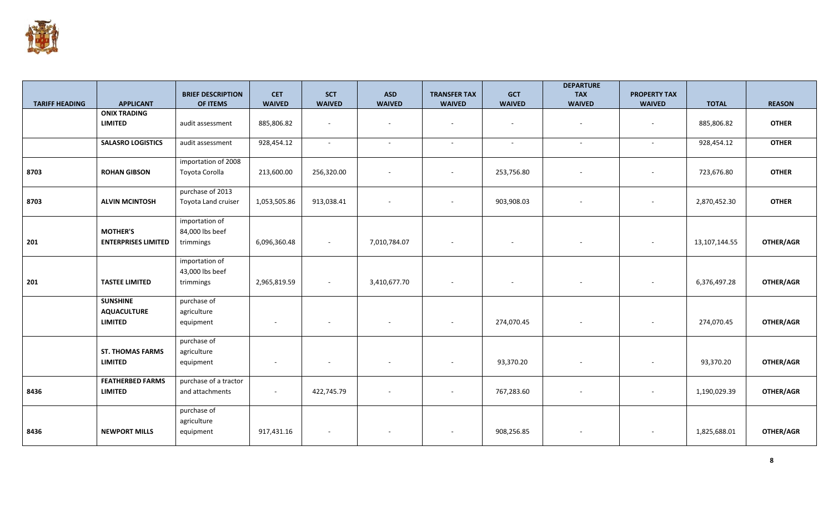

|                       |                            | <b>BRIEF DESCRIPTION</b> | <b>CET</b>               | <b>SCT</b>               | <b>ASD</b>               | <b>TRANSFER TAX</b>      | <b>GCT</b>                   | <b>DEPARTURE</b><br><b>TAX</b> | <b>PROPERTY TAX</b>      |               |               |
|-----------------------|----------------------------|--------------------------|--------------------------|--------------------------|--------------------------|--------------------------|------------------------------|--------------------------------|--------------------------|---------------|---------------|
| <b>TARIFF HEADING</b> | <b>APPLICANT</b>           | OF ITEMS                 | <b>WAIVED</b>            | <b>WAIVED</b>            | <b>WAIVED</b>            | <b>WAIVED</b>            | <b>WAIVED</b>                | <b>WAIVED</b>                  | <b>WAIVED</b>            | <b>TOTAL</b>  | <b>REASON</b> |
|                       | <b>ONIX TRADING</b>        |                          |                          |                          |                          |                          |                              |                                |                          |               |               |
|                       | <b>LIMITED</b>             | audit assessment         | 885,806.82               | $\overline{\phantom{a}}$ |                          | $\overline{\phantom{a}}$ | $\qquad \qquad \blacksquare$ |                                | $\overline{\phantom{a}}$ | 885,806.82    | <b>OTHER</b>  |
|                       |                            |                          |                          |                          |                          |                          |                              |                                |                          |               |               |
|                       | <b>SALASRO LOGISTICS</b>   | audit assessment         | 928,454.12               | $\sim$                   | $\sim$                   | $\sim$                   | $\sim$                       | $\sim$                         | $\sim$                   | 928,454.12    | <b>OTHER</b>  |
|                       |                            | importation of 2008      |                          |                          |                          |                          |                              |                                |                          |               |               |
| 8703                  | <b>ROHAN GIBSON</b>        | Toyota Corolla           | 213,600.00               | 256,320.00               | $\overline{\phantom{a}}$ | $\sim$                   | 253,756.80                   |                                |                          | 723,676.80    | <b>OTHER</b>  |
|                       |                            |                          |                          |                          |                          |                          |                              |                                |                          |               |               |
|                       |                            | purchase of 2013         |                          |                          |                          |                          |                              |                                |                          |               |               |
| 8703                  | <b>ALVIN MCINTOSH</b>      | Toyota Land cruiser      | 1,053,505.86             | 913,038.41               | $\overline{\phantom{a}}$ | $\sim$                   | 903,908.03                   |                                |                          | 2,870,452.30  | <b>OTHER</b>  |
|                       |                            | importation of           |                          |                          |                          |                          |                              |                                |                          |               |               |
|                       | <b>MOTHER'S</b>            | 84,000 lbs beef          |                          |                          |                          |                          |                              |                                |                          |               |               |
| 201                   | <b>ENTERPRISES LIMITED</b> | trimmings                | 6,096,360.48             |                          | 7,010,784.07             | $\overline{\phantom{a}}$ |                              |                                |                          | 13,107,144.55 | OTHER/AGR     |
|                       |                            |                          |                          |                          |                          |                          |                              |                                |                          |               |               |
|                       |                            | importation of           |                          |                          |                          |                          |                              |                                |                          |               |               |
|                       |                            | 43,000 lbs beef          |                          |                          |                          |                          |                              |                                |                          |               |               |
| 201                   | <b>TASTEE LIMITED</b>      | trimmings                | 2,965,819.59             | $\sim$                   | 3,410,677.70             | $\sim$                   |                              |                                |                          | 6,376,497.28  | OTHER/AGR     |
|                       | <b>SUNSHINE</b>            | purchase of              |                          |                          |                          |                          |                              |                                |                          |               |               |
|                       | <b>AQUACULTURE</b>         | agriculture              |                          |                          |                          |                          |                              |                                |                          |               |               |
|                       | <b>LIMITED</b>             | equipment                | $\overline{\phantom{a}}$ | $\sim$                   | $\overline{\phantom{a}}$ | $\sim$                   | 274,070.45                   |                                |                          | 274,070.45    | OTHER/AGR     |
|                       |                            |                          |                          |                          |                          |                          |                              |                                |                          |               |               |
|                       |                            | purchase of              |                          |                          |                          |                          |                              |                                |                          |               |               |
|                       | <b>ST. THOMAS FARMS</b>    | agriculture              |                          |                          |                          |                          |                              |                                |                          |               |               |
|                       | <b>LIMITED</b>             | equipment                | $\overline{\phantom{a}}$ | $\sim$                   | $\sim$                   | $\sim$                   | 93,370.20                    | $\overline{\phantom{a}}$       | $\sim$                   | 93,370.20     | OTHER/AGR     |
|                       | <b>FEATHERBED FARMS</b>    | purchase of a tractor    |                          |                          |                          |                          |                              |                                |                          |               |               |
| 8436                  | <b>LIMITED</b>             | and attachments          | $\overline{\phantom{a}}$ | 422,745.79               | $\overline{\phantom{a}}$ | $\sim$                   | 767,283.60                   |                                | $\sim$                   | 1,190,029.39  | OTHER/AGR     |
|                       |                            |                          |                          |                          |                          |                          |                              |                                |                          |               |               |
|                       |                            | purchase of              |                          |                          |                          |                          |                              |                                |                          |               |               |
|                       |                            | agriculture              |                          |                          |                          |                          |                              |                                |                          |               |               |
| 8436                  | <b>NEWPORT MILLS</b>       | equipment                | 917,431.16               |                          |                          |                          | 908,256.85                   |                                |                          | 1,825,688.01  | OTHER/AGR     |
|                       |                            |                          |                          |                          |                          |                          |                              |                                |                          |               |               |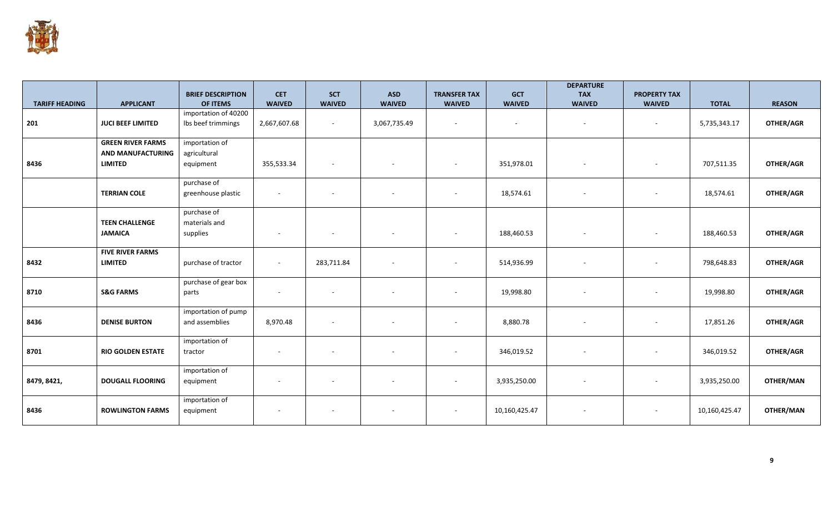

|                       |                                                                 | <b>BRIEF DESCRIPTION</b>                    | <b>CET</b>               | <b>SCT</b>               | <b>ASD</b>    | <b>TRANSFER TAX</b>      | <b>GCT</b>    | <b>DEPARTURE</b><br><b>TAX</b> | <b>PROPERTY TAX</b>      |               |               |
|-----------------------|-----------------------------------------------------------------|---------------------------------------------|--------------------------|--------------------------|---------------|--------------------------|---------------|--------------------------------|--------------------------|---------------|---------------|
| <b>TARIFF HEADING</b> | <b>APPLICANT</b>                                                | OF ITEMS                                    | <b>WAIVED</b>            | <b>WAIVED</b>            | <b>WAIVED</b> | <b>WAIVED</b>            | <b>WAIVED</b> | <b>WAIVED</b>                  | <b>WAIVED</b>            | <b>TOTAL</b>  | <b>REASON</b> |
| 201                   | <b>JUCI BEEF LIMITED</b>                                        | importation of 40200<br>Ibs beef trimmings  | 2,667,607.68             | $\overline{\phantom{a}}$ | 3,067,735.49  | $\overline{\phantom{a}}$ | $\sim$        | $\overline{\phantom{a}}$       | $\overline{\phantom{a}}$ | 5,735,343.17  | OTHER/AGR     |
| 8436                  | <b>GREEN RIVER FARMS</b><br>AND MANUFACTURING<br><b>LIMITED</b> | importation of<br>agricultural<br>equipment | 355,533.34               | $\overline{\phantom{a}}$ | $\sim$        | $\overline{\phantom{a}}$ | 351,978.01    | $\overline{\phantom{a}}$       | $\overline{\phantom{a}}$ | 707,511.35    | OTHER/AGR     |
|                       | <b>TERRIAN COLE</b>                                             | purchase of<br>greenhouse plastic           | $\overline{\phantom{a}}$ | $\overline{\phantom{a}}$ | $\sim$        | $\sim$                   | 18,574.61     | $\overline{\phantom{a}}$       | $\overline{\phantom{a}}$ | 18,574.61     | OTHER/AGR     |
|                       | <b>TEEN CHALLENGE</b><br><b>JAMAICA</b>                         | purchase of<br>materials and<br>supplies    | $\overline{\phantom{a}}$ | $\overline{\phantom{a}}$ |               | $\overline{\phantom{a}}$ | 188,460.53    | $\overline{\phantom{a}}$       |                          | 188,460.53    | OTHER/AGR     |
| 8432                  | <b>FIVE RIVER FARMS</b><br><b>LIMITED</b>                       | purchase of tractor                         | $\sim$                   | 283,711.84               | $\sim$        | $\overline{\phantom{a}}$ | 514,936.99    | $\overline{\phantom{a}}$       | $\overline{\phantom{a}}$ | 798,648.83    | OTHER/AGR     |
| 8710                  | <b>S&amp;G FARMS</b>                                            | purchase of gear box<br>parts               | $\overline{\phantom{a}}$ | $\overline{\phantom{a}}$ | $\sim$        | $\sim$                   | 19,998.80     | $\overline{\phantom{a}}$       | $\sim$                   | 19,998.80     | OTHER/AGR     |
| 8436                  | <b>DENISE BURTON</b>                                            | importation of pump<br>and assemblies       | 8,970.48                 | $\overline{\phantom{a}}$ |               | $\overline{\phantom{a}}$ | 8,880.78      | $\overline{\phantom{a}}$       | $\overline{\phantom{a}}$ | 17,851.26     | OTHER/AGR     |
| 8701                  | <b>RIO GOLDEN ESTATE</b>                                        | importation of<br>tractor                   | $\overline{\phantom{a}}$ | $\overline{\phantom{a}}$ |               | $\sim$                   | 346,019.52    | $\overline{\phantom{a}}$       | $\overline{\phantom{a}}$ | 346,019.52    | OTHER/AGR     |
| 8479, 8421,           | <b>DOUGALL FLOORING</b>                                         | importation of<br>equipment                 | $\overline{\phantom{a}}$ | $\overline{\phantom{a}}$ |               | $\overline{\phantom{a}}$ | 3,935,250.00  | $\overline{\phantom{a}}$       | $\sim$                   | 3,935,250.00  | OTHER/MAN     |
| 8436                  | <b>ROWLINGTON FARMS</b>                                         | importation of<br>equipment                 | $\overline{\phantom{a}}$ | $\overline{\phantom{a}}$ |               | $\overline{\phantom{a}}$ | 10,160,425.47 | $\overline{\phantom{a}}$       | $\overline{\phantom{a}}$ | 10,160,425.47 | OTHER/MAN     |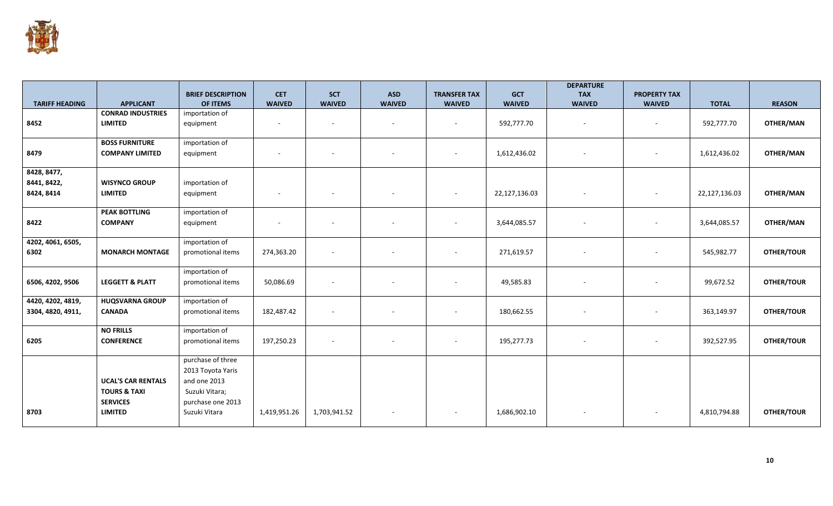

|                                          |                                                                                           | <b>BRIEF DESCRIPTION</b>                                                                                       | <b>CET</b>               | <b>SCT</b>               | <b>ASD</b>    | <b>TRANSFER TAX</b>      | <b>GCT</b>    | <b>DEPARTURE</b><br><b>TAX</b> | <b>PROPERTY TAX</b>      |               |                   |
|------------------------------------------|-------------------------------------------------------------------------------------------|----------------------------------------------------------------------------------------------------------------|--------------------------|--------------------------|---------------|--------------------------|---------------|--------------------------------|--------------------------|---------------|-------------------|
| <b>TARIFF HEADING</b>                    | <b>APPLICANT</b>                                                                          | OF ITEMS                                                                                                       | <b>WAIVED</b>            | <b>WAIVED</b>            | <b>WAIVED</b> | <b>WAIVED</b>            | <b>WAIVED</b> | <b>WAIVED</b>                  | <b>WAIVED</b>            | <b>TOTAL</b>  | <b>REASON</b>     |
|                                          | <b>CONRAD INDUSTRIES</b>                                                                  | importation of                                                                                                 |                          |                          |               |                          |               |                                |                          |               |                   |
| 8452                                     | <b>LIMITED</b>                                                                            | equipment                                                                                                      | $\overline{\phantom{a}}$ | $\overline{\phantom{a}}$ |               | $\overline{\phantom{a}}$ | 592,777.70    | $\overline{\phantom{a}}$       | $\blacksquare$           | 592,777.70    | OTHER/MAN         |
| 8479                                     | <b>BOSS FURNITURE</b><br><b>COMPANY LIMITED</b>                                           | importation of<br>equipment                                                                                    | $\sim$                   | $\sim$                   |               | $\overline{\phantom{a}}$ | 1,612,436.02  |                                | $\overline{\phantom{a}}$ | 1,612,436.02  | OTHER/MAN         |
| 8428, 8477,<br>8441, 8422,<br>8424, 8414 | <b>WISYNCO GROUP</b><br><b>LIMITED</b>                                                    | importation of<br>equipment                                                                                    |                          | $\overline{\phantom{a}}$ |               | $\overline{\phantom{a}}$ | 22,127,136.03 | $\overline{\phantom{a}}$       | $\overline{\phantom{a}}$ | 22,127,136.03 | OTHER/MAN         |
| 8422                                     | <b>PEAK BOTTLING</b><br><b>COMPANY</b>                                                    | importation of<br>equipment                                                                                    | $\overline{\phantom{a}}$ | $\overline{\phantom{a}}$ |               | $\overline{\phantom{a}}$ | 3,644,085.57  | $\overline{a}$                 | $\overline{\phantom{a}}$ | 3,644,085.57  | OTHER/MAN         |
| 4202, 4061, 6505,<br>6302                | <b>MONARCH MONTAGE</b>                                                                    | importation of<br>promotional items                                                                            | 274,363.20               | $\overline{\phantom{a}}$ |               | $\overline{\phantom{a}}$ | 271,619.57    | $\overline{\phantom{m}}$       |                          | 545,982.77    | OTHER/TOUR        |
| 6506, 4202, 9506                         | <b>LEGGETT &amp; PLATT</b>                                                                | importation of<br>promotional items                                                                            | 50,086.69                | $\sim$                   |               | $\overline{\phantom{a}}$ | 49,585.83     | $\overline{\phantom{a}}$       | $\overline{\phantom{a}}$ | 99,672.52     | <b>OTHER/TOUR</b> |
| 4420, 4202, 4819,<br>3304, 4820, 4911,   | <b>HUQSVARNA GROUP</b><br><b>CANADA</b>                                                   | importation of<br>promotional items                                                                            | 182,487.42               | $\sim$                   | $\sim$        | $\sim$                   | 180,662.55    | $\sim$                         | $\sim$                   | 363,149.97    | OTHER/TOUR        |
| 6205                                     | <b>NO FRILLS</b><br><b>CONFERENCE</b>                                                     | importation of<br>promotional items                                                                            | 197,250.23               | $\overline{\phantom{a}}$ |               | $\overline{\phantom{a}}$ | 195,277.73    | $\overline{\phantom{a}}$       | $\overline{\phantom{a}}$ | 392,527.95    | <b>OTHER/TOUR</b> |
| 8703                                     | <b>UCAL'S CAR RENTALS</b><br><b>TOURS &amp; TAXI</b><br><b>SERVICES</b><br><b>LIMITED</b> | purchase of three<br>2013 Toyota Yaris<br>and one 2013<br>Suzuki Vitara;<br>purchase one 2013<br>Suzuki Vitara | 1,419,951.26             | 1,703,941.52             |               | $\overline{\phantom{a}}$ | 1,686,902.10  | $\overline{\phantom{a}}$       | $\overline{\phantom{a}}$ | 4,810,794.88  | <b>OTHER/TOUR</b> |
|                                          |                                                                                           |                                                                                                                |                          |                          |               |                          |               |                                |                          |               |                   |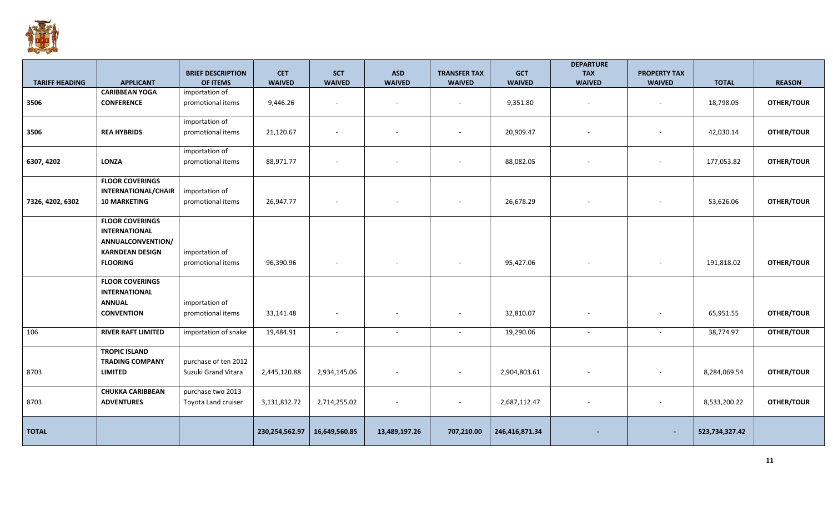

| <b>TARIFF HEADING</b> | <b>APPLICANT</b>                                                                                                 | <b>BRIEF DESCRIPTION</b><br>OF ITEMS        | <b>CET</b><br><b>WAIVED</b> | <b>SCT</b><br><b>WAIVED</b> | <b>ASD</b><br><b>WAIVED</b> | <b>TRANSFER TAX</b><br><b>WAIVED</b> | <b>GCT</b><br><b>WAIVED</b> | <b>DEPARTURE</b><br><b>TAX</b><br><b>WAIVED</b> | <b>PROPERTY TAX</b><br><b>WAIVED</b> | <b>TOTAL</b>   | <b>REASON</b>     |
|-----------------------|------------------------------------------------------------------------------------------------------------------|---------------------------------------------|-----------------------------|-----------------------------|-----------------------------|--------------------------------------|-----------------------------|-------------------------------------------------|--------------------------------------|----------------|-------------------|
|                       | <b>CARIBBEAN YOGA</b>                                                                                            | importation of                              |                             |                             |                             |                                      |                             |                                                 |                                      |                |                   |
| 3506                  | <b>CONFERENCE</b>                                                                                                | promotional items                           | 9,446.26                    | $\overline{\phantom{a}}$    | $\sim$                      | $\sim$                               | 9,351.80                    | $\sim$                                          | $\sim$                               | 18,798.05      | OTHER/TOUR        |
| 3506                  | <b>REA HYBRIDS</b>                                                                                               | importation of<br>promotional items         | 21,120.67                   | $\blacksquare$              |                             |                                      | 20,909.47                   |                                                 |                                      | 42,030.14      | OTHER/TOUR        |
| 6307, 4202            | <b>LONZA</b>                                                                                                     | importation of<br>promotional items         | 88,971.77                   | $\overline{\phantom{a}}$    | $\overline{\phantom{a}}$    | $\sim$                               | 88,082.05                   |                                                 | $\sim$                               | 177,053.82     | <b>OTHER/TOUR</b> |
| 7326, 4202, 6302      | <b>FLOOR COVERINGS</b><br><b>INTERNATIONAL/CHAIR</b><br><b>10 MARKETING</b>                                      | importation of<br>promotional items         | 26,947.77                   |                             |                             |                                      | 26,678.29                   |                                                 |                                      | 53,626.06      | OTHER/TOUR        |
|                       | <b>FLOOR COVERINGS</b><br><b>INTERNATIONAL</b><br>ANNUALCONVENTION/<br><b>KARNDEAN DESIGN</b><br><b>FLOORING</b> | importation of<br>promotional items         | 96,390.96                   | $\overline{\phantom{a}}$    |                             |                                      | 95,427.06                   |                                                 |                                      | 191,818.02     | <b>OTHER/TOUR</b> |
|                       | <b>FLOOR COVERINGS</b><br><b>INTERNATIONAL</b><br><b>ANNUAL</b><br><b>CONVENTION</b>                             | importation of<br>promotional items         | 33,141.48                   |                             |                             |                                      | 32,810.07                   |                                                 |                                      | 65,951.55      | OTHER/TOUR        |
| 106                   | <b>RIVER RAFT LIMITED</b>                                                                                        | importation of snake                        | 19,484.91                   | $\sim$                      | $\sim$                      | $\sim$                               | 19,290.06                   | $\sim$                                          | $\sim$                               | 38,774.97      | <b>OTHER/TOUR</b> |
| 8703                  | <b>TROPIC ISLAND</b><br><b>TRADING COMPANY</b><br><b>LIMITED</b>                                                 | purchase of ten 2012<br>Suzuki Grand Vitara | 2,445,120.88                | 2,934,145.06                |                             |                                      | 2,904,803.61                |                                                 |                                      | 8,284,069.54   | OTHER/TOUR        |
| 8703                  | <b>CHUKKA CARIBBEAN</b><br><b>ADVENTURES</b>                                                                     | purchase two 2013<br>Toyota Land cruiser    | 3,131,832.72                | 2,714,255.02                | $\sim$                      | $\overline{\phantom{a}}$             | 2,687,112.47                |                                                 | $\overline{\phantom{a}}$             | 8,533,200.22   | <b>OTHER/TOUR</b> |
| <b>TOTAL</b>          |                                                                                                                  |                                             | 230,254,562.97              | 16,649,560.85               | 13,489,197.26               | 707,210.00                           | 246,416,871.34              |                                                 |                                      | 523,734,327.42 |                   |